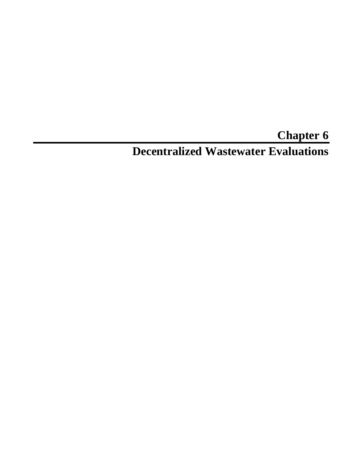# **Chapter 6 Decentralized Wastewater Evaluations**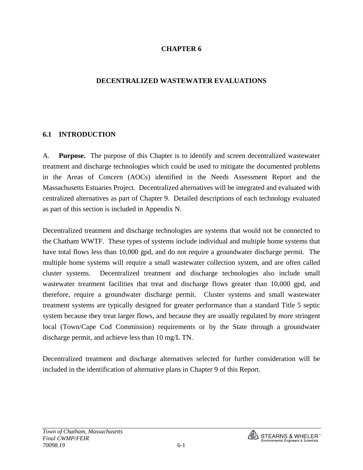#### **CHAPTER 6**

#### **DECENTRALIZED WASTEWATER EVALUATIONS**

#### **6.1 INTRODUCTION**

A. **Purpose.** The purpose of this Chapter is to identify and screen decentralized wastewater treatment and discharge technologies which could be used to mitigate the documented problems in the Areas of Concern (AOCs) identified in the Needs Assessment Report and the Massachusetts Estuaries Project. Decentralized alternatives will be integrated and evaluated with centralized alternatives as part of Chapter 9. Detailed descriptions of each technology evaluated as part of this section is included in Appendix N.

Decentralized treatment and discharge technologies are systems that would not be connected to the Chatham WWTF. These types of systems include individual and multiple home systems that have total flows less than 10,000 gpd, and do not require a groundwater discharge permit. The multiple home systems will require a small wastewater collection system, and are often called cluster systems. Decentralized treatment and discharge technologies also include small wastewater treatment facilities that treat and discharge flows greater than 10,000 gpd, and therefore, require a groundwater discharge permit. Cluster systems and small wastewater treatment systems are typically designed for greater performance than a standard Title 5 septic system because they treat larger flows, and because they are usually regulated by more stringent local (Town/Cape Cod Commission) requirements or by the State through a groundwater discharge permit, and achieve less than 10 mg/L TN.

Decentralized treatment and discharge alternatives selected for further consideration will be included in the identification of alternative plans in Chapter 9 of this Report.

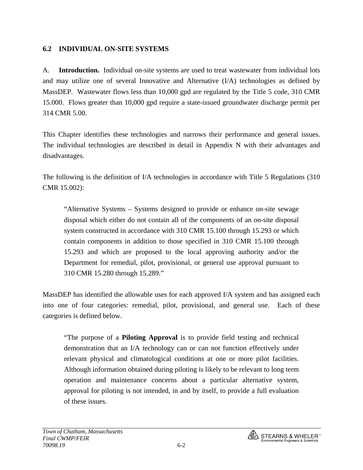#### **6.2 INDIVIDUAL ON-SITE SYSTEMS**

A. **Introduction.** Individual on-site systems are used to treat wastewater from individual lots and may utilize one of several Innovative and Alternative (I/A) technologies as defined by MassDEP. Wastewater flows less than 10,000 gpd are regulated by the Title 5 code, 310 CMR 15.000. Flows greater than 10,000 gpd require a state-issued groundwater discharge permit per 314 CMR 5.00.

This Chapter identifies these technologies and narrows their performance and general issues. The individual technologies are described in detail in Appendix N with their advantages and disadvantages.

The following is the definition of I/A technologies in accordance with Title 5 Regulations (310 CMR 15.002):

"Alternative Systems – Systems designed to provide or enhance on-site sewage disposal which either do not contain all of the components of an on-site disposal system constructed in accordance with 310 CMR 15.100 through 15.293 or which contain components in addition to those specified in 310 CMR 15.100 through 15.293 and which are proposed to the local approving authority and/or the Department for remedial, pilot, provisional, or general use approval pursuant to 310 CMR 15.280 through 15.289."

MassDEP has identified the allowable uses for each approved I/A system and has assigned each into one of four categories: remedial, pilot, provisional, and general use. Each of these categories is defined below.

"The purpose of a **Piloting Approval** is to provide field testing and technical demonstration that an I/A technology can or can not function effectively under relevant physical and climatological conditions at one or more pilot facilities. Although information obtained during piloting is likely to be relevant to long term operation and maintenance concerns about a particular alternative system, approval for piloting is not intended, in and by itself, to provide a full evaluation of these issues.

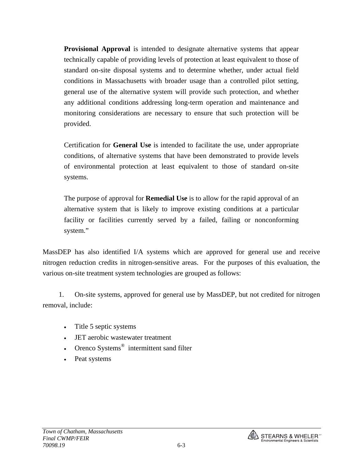**Provisional Approval** is intended to designate alternative systems that appear technically capable of providing levels of protection at least equivalent to those of standard on-site disposal systems and to determine whether, under actual field conditions in Massachusetts with broader usage than a controlled pilot setting, general use of the alternative system will provide such protection, and whether any additional conditions addressing long-term operation and maintenance and monitoring considerations are necessary to ensure that such protection will be provided.

Certification for **General Use** is intended to facilitate the use, under appropriate conditions, of alternative systems that have been demonstrated to provide levels of environmental protection at least equivalent to those of standard on-site systems.

The purpose of approval for **Remedial Use** is to allow for the rapid approval of an alternative system that is likely to improve existing conditions at a particular facility or facilities currently served by a failed, failing or nonconforming system."

MassDEP has also identified I/A systems which are approved for general use and receive nitrogen reduction credits in nitrogen-sensitive areas. For the purposes of this evaluation, the various on-site treatment system technologies are grouped as follows:

1. On-site systems, approved for general use by MassDEP, but not credited for nitrogen removal, include:

- Title 5 septic systems
- JET aerobic wastewater treatment
- Orenco Systems<sup>®</sup> intermittent sand filter
- Peat systems

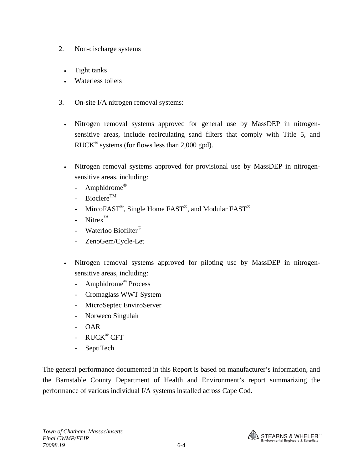- 2. Non-discharge systems
	- Tight tanks
	- Waterless toilets
- 3. On-site I/A nitrogen removal systems:
	- Nitrogen removal systems approved for general use by MassDEP in nitrogensensitive areas, include recirculating sand filters that comply with Title 5, and RUCK® systems (for flows less than 2,000 gpd).
	- Nitrogen removal systems approved for provisional use by MassDEP in nitrogensensitive areas, including:
		- Amphidrome<sup>®</sup>
		- Bioclere<sup>TM</sup>
		- Mirco $FAST^{\circledR}$ , Single Home  $FAST^{\circledR}$ , and Modular  $FAST^{\circledR}$
		- $N$ itrex<sup>™</sup>
		- Waterloo Biofilter<sup>®</sup>
		- ZenoGem/Cycle-Let
	- Nitrogen removal systems approved for piloting use by MassDEP in nitrogensensitive areas, including:
		- Amphidrome<sup>®</sup> Process
		- Cromaglass WWT System
		- MicroSeptec EnviroServer
		- Norweco Singulair
		- OAR
		- RUCK<sup>®</sup> CFT
		- SeptiTech

The general performance documented in this Report is based on manufacturer's information, and the Barnstable County Department of Health and Environment's report summarizing the performance of various individual I/A systems installed across Cape Cod.

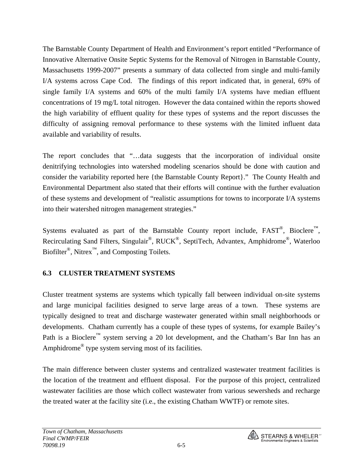The Barnstable County Department of Health and Environment's report entitled "Performance of Innovative Alternative Onsite Septic Systems for the Removal of Nitrogen in Barnstable County, Massachusetts 1999-2007" presents a summary of data collected from single and multi-family I/A systems across Cape Cod. The findings of this report indicated that, in general, 69% of single family I/A systems and 60% of the multi family I/A systems have median effluent concentrations of 19 mg/L total nitrogen. However the data contained within the reports showed the high variability of effluent quality for these types of systems and the report discusses the difficulty of assigning removal performance to these systems with the limited influent data available and variability of results.

The report concludes that "…data suggests that the incorporation of individual onsite denitrifying technologies into watershed modeling scenarios should be done with caution and consider the variability reported here {the Barnstable County Report}." The County Health and Environmental Department also stated that their efforts will continue with the further evaluation of these systems and development of "realistic assumptions for towns to incorporate I/A systems into their watershed nitrogen management strategies."

Systems evaluated as part of the Barnstable County report include,  $FAST^{\circledast}$ , Bioclere<sup>™</sup>, Recirculating Sand Filters, Singulair®, RUCK®, SeptiTech, Advantex, Amphidrome®, Waterloo Biofilter<sup>®</sup>, Nitrex<sup>™</sup>, and Composting Toilets.

### **6.3 CLUSTER TREATMENT SYSTEMS**

Cluster treatment systems are systems which typically fall between individual on-site systems and large municipal facilities designed to serve large areas of a town. These systems are typically designed to treat and discharge wastewater generated within small neighborhoods or developments. Chatham currently has a couple of these types of systems, for example Bailey's Path is a Bioclere™ system serving a 20 lot development, and the Chatham's Bar Inn has an Amphidrome® type system serving most of its facilities.

The main difference between cluster systems and centralized wastewater treatment facilities is the location of the treatment and effluent disposal. For the purpose of this project, centralized wastewater facilities are those which collect wastewater from various sewersheds and recharge the treated water at the facility site (i.e., the existing Chatham WWTF) or remote sites.

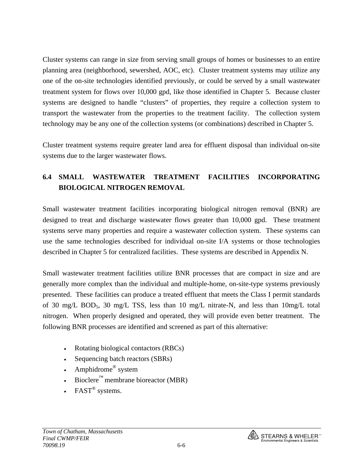Cluster systems can range in size from serving small groups of homes or businesses to an entire planning area (neighborhood, sewershed, AOC, etc). Cluster treatment systems may utilize any one of the on-site technologies identified previously, or could be served by a small wastewater treatment system for flows over 10,000 gpd, like those identified in Chapter 5. Because cluster systems are designed to handle "clusters" of properties, they require a collection system to transport the wastewater from the properties to the treatment facility. The collection system technology may be any one of the collection systems (or combinations) described in Chapter 5.

Cluster treatment systems require greater land area for effluent disposal than individual on-site systems due to the larger wastewater flows.

# **6.4 SMALL WASTEWATER TREATMENT FACILITIES INCORPORATING BIOLOGICAL NITROGEN REMOVAL**

Small wastewater treatment facilities incorporating biological nitrogen removal (BNR) are designed to treat and discharge wastewater flows greater than 10,000 gpd. These treatment systems serve many properties and require a wastewater collection system. These systems can use the same technologies described for individual on-site I/A systems or those technologies described in Chapter 5 for centralized facilities. These systems are described in Appendix N.

Small wastewater treatment facilities utilize BNR processes that are compact in size and are generally more complex than the individual and multiple-home, on-site-type systems previously presented. These facilities can produce a treated effluent that meets the Class I permit standards of 30 mg/L BOD5, 30 mg/L TSS, less than 10 mg/L nitrate-N, and less than 10mg/L total nitrogen. When properly designed and operated, they will provide even better treatment. The following BNR processes are identified and screened as part of this alternative:

- Rotating biological contactors (RBCs)
- Sequencing batch reactors (SBRs)
- Amphidrome<sup>®</sup> system
- Bioclere<sup>™</sup> membrane bioreactor (MBR)
- FAST<sup>®</sup> systems.

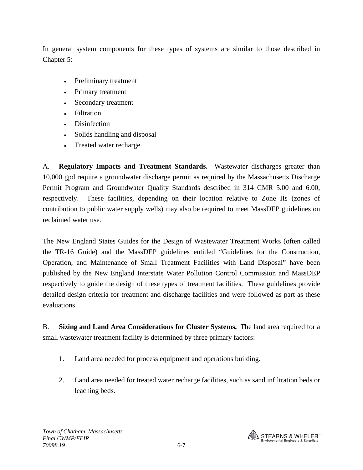In general system components for these types of systems are similar to those described in Chapter 5:

- Preliminary treatment
- Primary treatment
- Secondary treatment
- Filtration
- **Disinfection**
- Solids handling and disposal
- Treated water recharge

A. **Regulatory Impacts and Treatment Standards.** Wastewater discharges greater than 10,000 gpd require a groundwater discharge permit as required by the Massachusetts Discharge Permit Program and Groundwater Quality Standards described in 314 CMR 5.00 and 6.00, respectively. These facilities, depending on their location relative to Zone IIs (zones of contribution to public water supply wells) may also be required to meet MassDEP guidelines on reclaimed water use.

The New England States Guides for the Design of Wastewater Treatment Works (often called the TR-16 Guide) and the MassDEP guidelines entitled "Guidelines for the Construction, Operation, and Maintenance of Small Treatment Facilities with Land Disposal" have been published by the New England Interstate Water Pollution Control Commission and MassDEP respectively to guide the design of these types of treatment facilities. These guidelines provide detailed design criteria for treatment and discharge facilities and were followed as part as these evaluations.

B. **Sizing and Land Area Considerations for Cluster Systems.** The land area required for a small wastewater treatment facility is determined by three primary factors:

- 1. Land area needed for process equipment and operations building.
- 2. Land area needed for treated water recharge facilities, such as sand infiltration beds or leaching beds.

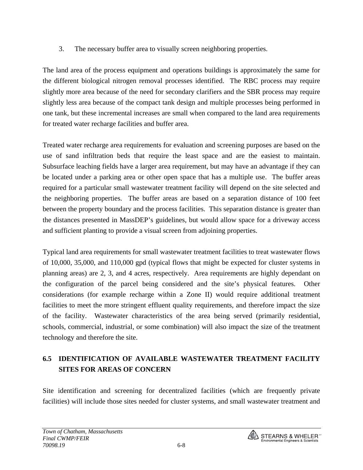3. The necessary buffer area to visually screen neighboring properties.

The land area of the process equipment and operations buildings is approximately the same for the different biological nitrogen removal processes identified. The RBC process may require slightly more area because of the need for secondary clarifiers and the SBR process may require slightly less area because of the compact tank design and multiple processes being performed in one tank, but these incremental increases are small when compared to the land area requirements for treated water recharge facilities and buffer area.

Treated water recharge area requirements for evaluation and screening purposes are based on the use of sand infiltration beds that require the least space and are the easiest to maintain. Subsurface leaching fields have a larger area requirement, but may have an advantage if they can be located under a parking area or other open space that has a multiple use. The buffer areas required for a particular small wastewater treatment facility will depend on the site selected and the neighboring properties. The buffer areas are based on a separation distance of 100 feet between the property boundary and the process facilities. This separation distance is greater than the distances presented in MassDEP's guidelines, but would allow space for a driveway access and sufficient planting to provide a visual screen from adjoining properties.

Typical land area requirements for small wastewater treatment facilities to treat wastewater flows of 10,000, 35,000, and 110,000 gpd (typical flows that might be expected for cluster systems in planning areas) are 2, 3, and 4 acres, respectively. Area requirements are highly dependant on the configuration of the parcel being considered and the site's physical features. Other considerations (for example recharge within a Zone II) would require additional treatment facilities to meet the more stringent effluent quality requirements, and therefore impact the size of the facility. Wastewater characteristics of the area being served (primarily residential, schools, commercial, industrial, or some combination) will also impact the size of the treatment technology and therefore the site.

# **6.5 IDENTIFICATION OF AVAILABLE WASTEWATER TREATMENT FACILITY SITES FOR AREAS OF CONCERN**

Site identification and screening for decentralized facilities (which are frequently private facilities) will include those sites needed for cluster systems, and small wastewater treatment and

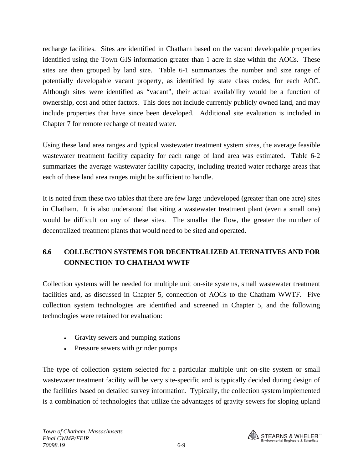recharge facilities. Sites are identified in Chatham based on the vacant developable properties identified using the Town GIS information greater than 1 acre in size within the AOCs. These sites are then grouped by land size. Table 6-1 summarizes the number and size range of potentially developable vacant property, as identified by state class codes, for each AOC. Although sites were identified as "vacant", their actual availability would be a function of ownership, cost and other factors. This does not include currently publicly owned land, and may include properties that have since been developed. Additional site evaluation is included in Chapter 7 for remote recharge of treated water.

Using these land area ranges and typical wastewater treatment system sizes, the average feasible wastewater treatment facility capacity for each range of land area was estimated. Table 6-2 summarizes the average wastewater facility capacity, including treated water recharge areas that each of these land area ranges might be sufficient to handle.

It is noted from these two tables that there are few large undeveloped (greater than one acre) sites in Chatham. It is also understood that siting a wastewater treatment plant (even a small one) would be difficult on any of these sites. The smaller the flow, the greater the number of decentralized treatment plants that would need to be sited and operated.

# **6.6 COLLECTION SYSTEMS FOR DECENTRALIZED ALTERNATIVES AND FOR CONNECTION TO CHATHAM WWTF**

Collection systems will be needed for multiple unit on-site systems, small wastewater treatment facilities and, as discussed in Chapter 5, connection of AOCs to the Chatham WWTF. Five collection system technologies are identified and screened in Chapter 5, and the following technologies were retained for evaluation:

- Gravity sewers and pumping stations
- Pressure sewers with grinder pumps

The type of collection system selected for a particular multiple unit on-site system or small wastewater treatment facility will be very site-specific and is typically decided during design of the facilities based on detailed survey information. Typically, the collection system implemented is a combination of technologies that utilize the advantages of gravity sewers for sloping upland

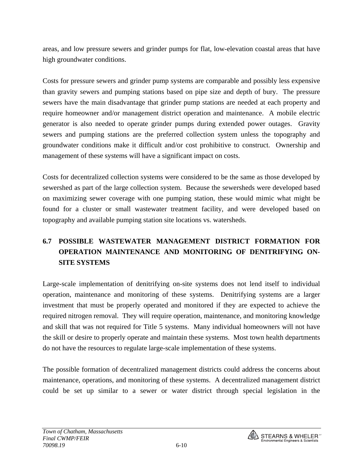areas, and low pressure sewers and grinder pumps for flat, low-elevation coastal areas that have high groundwater conditions.

Costs for pressure sewers and grinder pump systems are comparable and possibly less expensive than gravity sewers and pumping stations based on pipe size and depth of bury. The pressure sewers have the main disadvantage that grinder pump stations are needed at each property and require homeowner and/or management district operation and maintenance. A mobile electric generator is also needed to operate grinder pumps during extended power outages. Gravity sewers and pumping stations are the preferred collection system unless the topography and groundwater conditions make it difficult and/or cost prohibitive to construct. Ownership and management of these systems will have a significant impact on costs.

Costs for decentralized collection systems were considered to be the same as those developed by sewershed as part of the large collection system. Because the sewersheds were developed based on maximizing sewer coverage with one pumping station, these would mimic what might be found for a cluster or small wastewater treatment facility, and were developed based on topography and available pumping station site locations vs. watersheds.

# **6.7 POSSIBLE WASTEWATER MANAGEMENT DISTRICT FORMATION FOR OPERATION MAINTENANCE AND MONITORING OF DENITRIFYING ON-SITE SYSTEMS**

Large-scale implementation of denitrifying on-site systems does not lend itself to individual operation, maintenance and monitoring of these systems. Denitrifying systems are a larger investment that must be properly operated and monitored if they are expected to achieve the required nitrogen removal. They will require operation, maintenance, and monitoring knowledge and skill that was not required for Title 5 systems. Many individual homeowners will not have the skill or desire to properly operate and maintain these systems. Most town health departments do not have the resources to regulate large-scale implementation of these systems.

The possible formation of decentralized management districts could address the concerns about maintenance, operations, and monitoring of these systems. A decentralized management district could be set up similar to a sewer or water district through special legislation in the

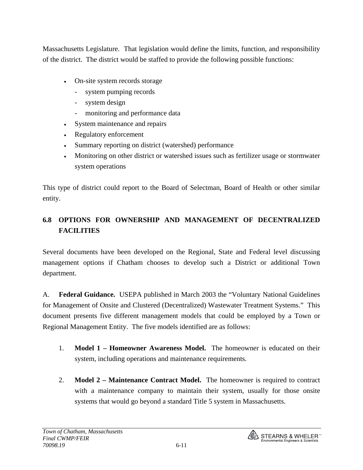Massachusetts Legislature. That legislation would define the limits, function, and responsibility of the district. The district would be staffed to provide the following possible functions:

- On-site system records storage
	- system pumping records
	- system design
	- monitoring and performance data
- System maintenance and repairs
- Regulatory enforcement
- Summary reporting on district (watershed) performance
- Monitoring on other district or watershed issues such as fertilizer usage or stormwater system operations

This type of district could report to the Board of Selectman, Board of Health or other similar entity.

## **6.8 OPTIONS FOR OWNERSHIP AND MANAGEMENT OF DECENTRALIZED FACILITIES**

Several documents have been developed on the Regional, State and Federal level discussing management options if Chatham chooses to develop such a District or additional Town department.

A. **Federal Guidance.** USEPA published in March 2003 the "Voluntary National Guidelines for Management of Onsite and Clustered (Decentralized) Wastewater Treatment Systems." This document presents five different management models that could be employed by a Town or Regional Management Entity. The five models identified are as follows:

- 1. **Model 1 Homeowner Awareness Model.** The homeowner is educated on their system, including operations and maintenance requirements.
- 2. **Model 2 Maintenance Contract Model.** The homeowner is required to contract with a maintenance company to maintain their system, usually for those onsite systems that would go beyond a standard Title 5 system in Massachusetts.

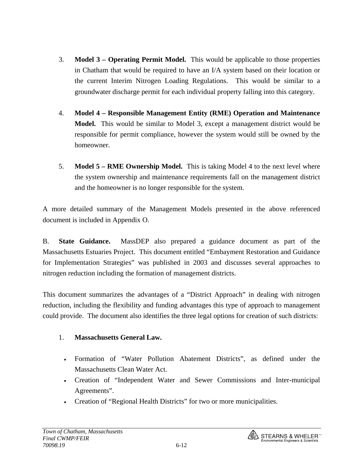- 3. **Model 3 Operating Permit Model.** This would be applicable to those properties in Chatham that would be required to have an I/A system based on their location or the current Interim Nitrogen Loading Regulations. This would be similar to a groundwater discharge permit for each individual property falling into this category.
- 4. **Model 4 Responsible Management Entity (RME) Operation and Maintenance Model.** This would be similar to Model 3, except a management district would be responsible for permit compliance, however the system would still be owned by the homeowner.
- 5. **Model 5 RME Ownership Model.** This is taking Model 4 to the next level where the system ownership and maintenance requirements fall on the management district and the homeowner is no longer responsible for the system.

A more detailed summary of the Management Models presented in the above referenced document is included in Appendix O.

B. **State Guidance.** MassDEP also prepared a guidance document as part of the Massachusetts Estuaries Project. This document entitled "Embayment Restoration and Guidance for Implementation Strategies" was published in 2003 and discusses several approaches to nitrogen reduction including the formation of management districts.

This document summarizes the advantages of a "District Approach" in dealing with nitrogen reduction, including the flexibility and funding advantages this type of approach to management could provide. The document also identifies the three legal options for creation of such districts:

#### 1. **Massachusetts General Law.**

- Formation of "Water Pollution Abatement Districts", as defined under the Massachusetts Clean Water Act.
- Creation of "Independent Water and Sewer Commissions and Inter-municipal Agreements".
- Creation of "Regional Health Districts" for two or more municipalities.

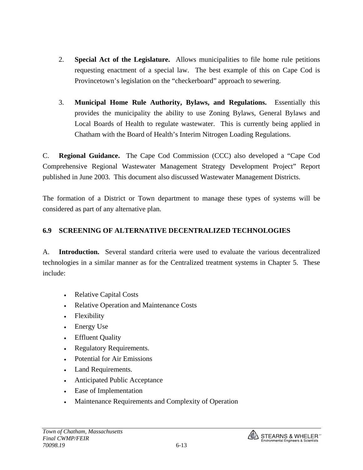- 2. **Special Act of the Legislature.** Allows municipalities to file home rule petitions requesting enactment of a special law. The best example of this on Cape Cod is Provincetown's legislation on the "checkerboard" approach to sewering.
- 3. **Municipal Home Rule Authority, Bylaws, and Regulations.** Essentially this provides the municipality the ability to use Zoning Bylaws, General Bylaws and Local Boards of Health to regulate wastewater. This is currently being applied in Chatham with the Board of Health's Interim Nitrogen Loading Regulations.

C. **Regional Guidance.** The Cape Cod Commission (CCC) also developed a "Cape Cod Comprehensive Regional Wastewater Management Strategy Development Project" Report published in June 2003. This document also discussed Wastewater Management Districts.

The formation of a District or Town department to manage these types of systems will be considered as part of any alternative plan.

## **6.9 SCREENING OF ALTERNATIVE DECENTRALIZED TECHNOLOGIES**

A. **Introduction.** Several standard criteria were used to evaluate the various decentralized technologies in a similar manner as for the Centralized treatment systems in Chapter 5. These include:

- Relative Capital Costs
- Relative Operation and Maintenance Costs
- Flexibility
- Energy Use
- Effluent Quality
- Regulatory Requirements.
- Potential for Air Emissions
- Land Requirements.
- Anticipated Public Acceptance
- Ease of Implementation
- Maintenance Requirements and Complexity of Operation

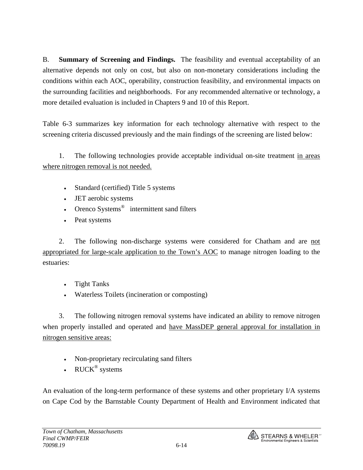B. **Summary of Screening and Findings.** The feasibility and eventual acceptability of an alternative depends not only on cost, but also on non-monetary considerations including the conditions within each AOC, operability, construction feasibility, and environmental impacts on the surrounding facilities and neighborhoods. For any recommended alternative or technology, a more detailed evaluation is included in Chapters 9 and 10 of this Report.

Table 6-3 summarizes key information for each technology alternative with respect to the screening criteria discussed previously and the main findings of the screening are listed below:

 1. The following technologies provide acceptable individual on-site treatment in areas where nitrogen removal is not needed.

- Standard (certified) Title 5 systems
- JET aerobic systems
- Orenco Systems<sup>®</sup> intermittent sand filters
- Peat systems

 2. The following non-discharge systems were considered for Chatham and are not appropriated for large-scale application to the Town's AOC to manage nitrogen loading to the estuaries:

- Tight Tanks
- Waterless Toilets (incineration or composting)

 3. The following nitrogen removal systems have indicated an ability to remove nitrogen when properly installed and operated and have MassDEP general approval for installation in nitrogen sensitive areas:

- Non-proprietary recirculating sand filters
- RUCK<sup>®</sup> systems

An evaluation of the long-term performance of these systems and other proprietary I/A systems on Cape Cod by the Barnstable County Department of Health and Environment indicated that

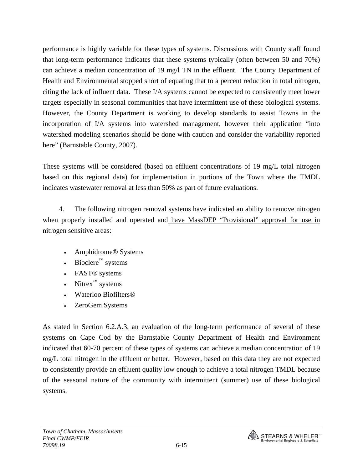performance is highly variable for these types of systems. Discussions with County staff found that long-term performance indicates that these systems typically (often between 50 and 70%) can achieve a median concentration of 19 mg/l TN in the effluent. The County Department of Health and Environmental stopped short of equating that to a percent reduction in total nitrogen, citing the lack of influent data. These I/A systems cannot be expected to consistently meet lower targets especially in seasonal communities that have intermittent use of these biological systems. However, the County Department is working to develop standards to assist Towns in the incorporation of I/A systems into watershed management, however their application "into watershed modeling scenarios should be done with caution and consider the variability reported here" (Barnstable County, 2007).

These systems will be considered (based on effluent concentrations of 19 mg/L total nitrogen based on this regional data) for implementation in portions of the Town where the TMDL indicates wastewater removal at less than 50% as part of future evaluations.

 4. The following nitrogen removal systems have indicated an ability to remove nitrogen when properly installed and operated and have MassDEP "Provisional" approval for use in nitrogen sensitive areas:

- Amphidrome® Systems
- Bioclere™ systems
- FAST® systems
- Nitrex $\mathbb{R}^m$  systems
- Waterloo Biofilters®
- ZeroGem Systems

As stated in Section 6.2.A.3, an evaluation of the long-term performance of several of these systems on Cape Cod by the Barnstable County Department of Health and Environment indicated that 60-70 percent of these types of systems can achieve a median concentration of 19 mg/L total nitrogen in the effluent or better. However, based on this data they are not expected to consistently provide an effluent quality low enough to achieve a total nitrogen TMDL because of the seasonal nature of the community with intermittent (summer) use of these biological systems.

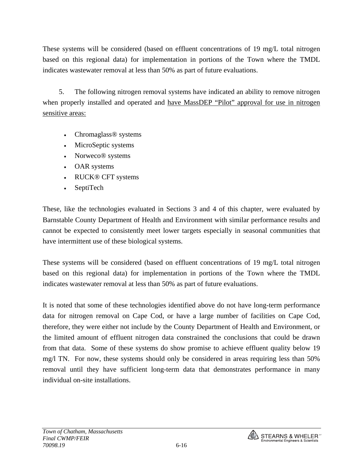These systems will be considered (based on effluent concentrations of 19 mg/L total nitrogen based on this regional data) for implementation in portions of the Town where the TMDL indicates wastewater removal at less than 50% as part of future evaluations.

 5. The following nitrogen removal systems have indicated an ability to remove nitrogen when properly installed and operated and have MassDEP "Pilot" approval for use in nitrogen sensitive areas:

- Chromaglass<sup>®</sup> systems
- MicroSeptic systems
- Norweco<sup>®</sup> systems
- OAR systems
- RUCK® CFT systems
- SeptiTech

These, like the technologies evaluated in Sections 3 and 4 of this chapter, were evaluated by Barnstable County Department of Health and Environment with similar performance results and cannot be expected to consistently meet lower targets especially in seasonal communities that have intermittent use of these biological systems.

These systems will be considered (based on effluent concentrations of 19 mg/L total nitrogen based on this regional data) for implementation in portions of the Town where the TMDL indicates wastewater removal at less than 50% as part of future evaluations.

It is noted that some of these technologies identified above do not have long-term performance data for nitrogen removal on Cape Cod, or have a large number of facilities on Cape Cod, therefore, they were either not include by the County Department of Health and Environment, or the limited amount of effluent nitrogen data constrained the conclusions that could be drawn from that data. Some of these systems do show promise to achieve effluent quality below 19 mg/l TN. For now, these systems should only be considered in areas requiring less than 50% removal until they have sufficient long-term data that demonstrates performance in many individual on-site installations.